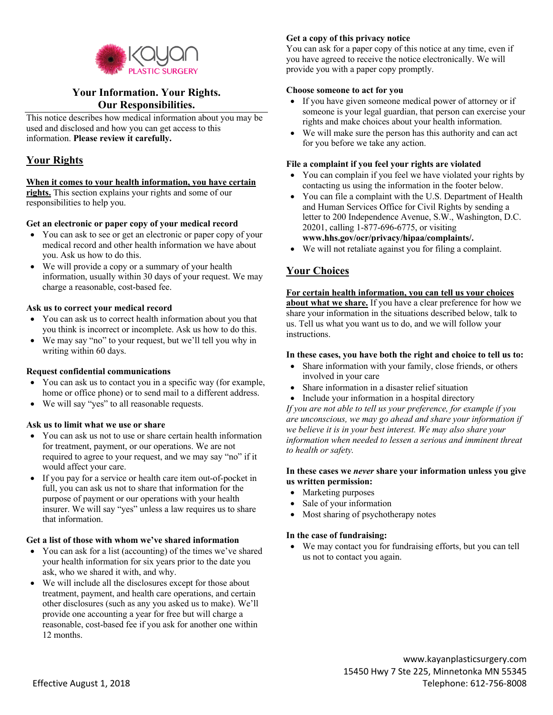

# **Your Information. Your Rights. Our Responsibilities.**

This notice describes how medical information about you may be used and disclosed and how you can get access to this information. **Please review it carefully.**

## **Your Rights**

## **When it comes to your health information, you have certain**

**rights.** This section explains your rights and some of our responsibilities to help you.

## **Get an electronic or paper copy of your medical record**

- You can ask to see or get an electronic or paper copy of your medical record and other health information we have about you. Ask us how to do this.
- We will provide a copy or a summary of your health information, usually within 30 days of your request. We may charge a reasonable, cost-based fee.

## **Ask us to correct your medical record**

- You can ask us to correct health information about you that you think is incorrect or incomplete. Ask us how to do this.
- We may say "no" to your request, but we'll tell you why in writing within 60 days.

## **Request confidential communications**

- You can ask us to contact you in a specific way (for example, home or office phone) or to send mail to a different address.
- We will say "yes" to all reasonable requests.

## **Ask us to limit what we use or share**

- You can ask us not to use or share certain health information for treatment, payment, or our operations. We are not required to agree to your request, and we may say "no" if it would affect your care.
- If you pay for a service or health care item out-of-pocket in full, you can ask us not to share that information for the purpose of payment or our operations with your health insurer. We will say "yes" unless a law requires us to share that information.

## **Get a list of those with whom we've shared information**

- You can ask for a list (accounting) of the times we've shared your health information for six years prior to the date you ask, who we shared it with, and why.
- We will include all the disclosures except for those about treatment, payment, and health care operations, and certain other disclosures (such as any you asked us to make). We'll provide one accounting a year for free but will charge a reasonable, cost-based fee if you ask for another one within 12 months.

## **Get a copy of this privacy notice**

You can ask for a paper copy of this notice at any time, even if you have agreed to receive the notice electronically. We will provide you with a paper copy promptly.

#### **Choose someone to act for you**

- If you have given someone medical power of attorney or if someone is your legal guardian, that person can exercise your rights and make choices about your health information.
- We will make sure the person has this authority and can act for you before we take any action.

## **File a complaint if you feel your rights are violated**

- You can complain if you feel we have violated your rights by contacting us using the information in the footer below.
- You can file a complaint with the U.S. Department of Health and Human Services Office for Civil Rights by sending a letter to 200 Independence Avenue, S.W., Washington, D.C. 20201, calling 1-877-696-6775, or visiting **www.hhs.gov/ocr/privacy/hipaa/complaints/.**
- We will not retaliate against you for filing a complaint.

# **Your Choices**

## **For certain health information, you can tell us your choices**

**about what we share.** If you have a clear preference for how we share your information in the situations described below, talk to us. Tell us what you want us to do, and we will follow your instructions.

## **In these cases, you have both the right and choice to tell us to:**

- Share information with your family, close friends, or others involved in your care
- Share information in a disaster relief situation
- Include your information in a hospital directory

*If you are not able to tell us your preference, for example if you are unconscious, we may go ahead and share your information if we believe it is in your best interest. We may also share your information when needed to lessen a serious and imminent threat to health or safety.*

## **In these cases we** *never* **share your information unless you give us written permission:**

- Marketing purposes
- Sale of your information
- Most sharing of psychotherapy notes

## **In the case of fundraising:**

• We may contact you for fundraising efforts, but you can tell us not to contact you again.